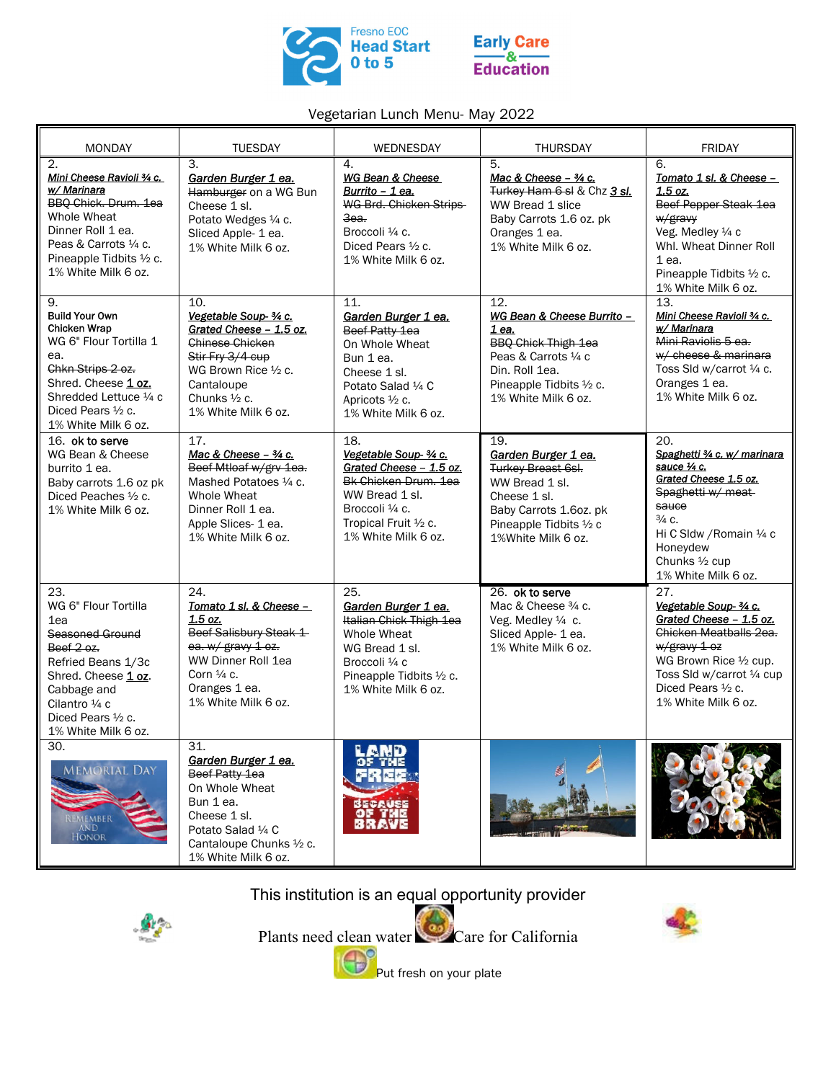



## Vegetarian Lunch Menu- May 2022

| <b>MONDAY</b>                                                                                                                                                                                                    | <b>TUESDAY</b>                                                                                                                                                                       | WEDNESDAY                                                                                                                                                             | <b>THURSDAY</b>                                                                                                                                                                   | <b>FRIDAY</b>                                                                                                                                                                                                    |
|------------------------------------------------------------------------------------------------------------------------------------------------------------------------------------------------------------------|--------------------------------------------------------------------------------------------------------------------------------------------------------------------------------------|-----------------------------------------------------------------------------------------------------------------------------------------------------------------------|-----------------------------------------------------------------------------------------------------------------------------------------------------------------------------------|------------------------------------------------------------------------------------------------------------------------------------------------------------------------------------------------------------------|
| 2.<br>Mini Cheese Ravioli 3/4 c.<br>w/ Marinara<br>BBQ Chick. Drum. 1ea<br>Whole Wheat<br>Dinner Roll 1 ea.<br>Peas & Carrots 1/4 c.<br>Pineapple Tidbits 1/2 c.<br>1% White Milk 6 oz.                          | 3.<br>Garden Burger 1 ea.<br>Hamburger on a WG Bun<br>Cheese 1 sl.<br>Potato Wedges 1/4 c.<br>Sliced Apple- 1 ea.<br>1% White Milk 6 oz.                                             | 4.<br>WG Bean & Cheese<br>Burrito - 1 ea.<br>WG Brd. Chicken Strips<br>3ea.<br>Broccoli 1/4 c.<br>Diced Pears 1/2 c.<br>1% White Milk 6 oz.                           | 5.<br>Mac & Cheese - 3/4 c.<br>Turkey Ham 6 sl & Chz 3 sl.<br>WW Bread 1 slice<br>Baby Carrots 1.6 oz. pk<br>Oranges 1 ea.<br>1% White Milk 6 oz.                                 | 6.<br>Tomato 1 sl. & Cheese -<br>1.5 oz.<br>Beef Pepper Steak 1ea<br>w/gravy<br>Veg. Medley 1/4 c<br>Whl. Wheat Dinner Roll<br>1 ea.<br>Pineapple Tidbits 1/2 c.<br>1% White Milk 6 oz.                          |
| 9.<br><b>Build Your Own</b><br><b>Chicken Wrap</b><br>WG 6" Flour Tortilla 1<br>ea.<br>Chkn Strips 2 oz.<br>Shred. Cheese 1 oz.<br>Shredded Lettuce 1/4 c<br>Diced Pears $\frac{1}{2}$ c.<br>1% White Milk 6 oz. | 10.<br>Vegetable Soup- 3/4 c.<br>Grated Cheese - 1.5 oz.<br><b>Chinese Chicken</b><br>Stir Fry 3/4 cup<br>WG Brown Rice 1/2 c.<br>Cantaloupe<br>Chunks 1/2 c.<br>1% White Milk 6 oz. | 11.<br>Garden Burger 1 ea.<br>Beef Patty 1ea<br>On Whole Wheat<br>Bun 1 ea.<br>Cheese 1 sl.<br>Potato Salad 1/4 C<br>Apricots 1/2 c.<br>1% White Milk 6 oz.           | $\overline{12}$<br>WG Bean & Cheese Burrito -<br>1 ea.<br><b>BBQ Chick Thigh 1ea</b><br>Peas & Carrots 1/4 c<br>Din. Roll 1ea.<br>Pineapple Tidbits 1/2 c.<br>1% White Milk 6 oz. | $\overline{13}$ .<br>Mini Cheese Ravioli 3/4 c.<br>w/Marinara<br>Mini Raviolis 5 ea.<br>w/ cheese & marinara<br>Toss Sld w/carrot 1/4 c.<br>Oranges 1 ea.<br>1% White Milk 6 oz.                                 |
| 16. ok to serve<br>WG Bean & Cheese<br>burrito 1 ea.<br>Baby carrots 1.6 oz pk<br>Diced Peaches 1/2 c.<br>1% White Milk 6 oz.                                                                                    | 17.<br>Mac & Cheese - 3/4 c.<br>Beef Mtloaf w/grv 1ea.<br>Mashed Potatoes 1/4 c.<br>Whole Wheat<br>Dinner Roll 1 ea.<br>Apple Slices- 1 ea.<br>1% White Milk 6 oz.                   | 18.<br>Vegetable Soup- 3/4 c.<br>Grated Cheese - 1.5 oz.<br>Bk Chicken Drum, 1ea<br>WW Bread 1 sl.<br>Broccoli 1/4 c.<br>Tropical Fruit 1/2 c.<br>1% White Milk 6 oz. | 19.<br>Garden Burger 1 ea.<br><b>Turkey Breast 6sl.</b><br>WW Bread 1 sl.<br>Cheese 1 sl.<br>Baby Carrots 1.6oz. pk<br>Pineapple Tidbits 1/2 c<br>1%White Milk 6 oz.              | 20.<br>Spaghetti 3/4 c. w/ marinara<br>sauce 1/4 c.<br>Grated Cheese 1.5 oz.<br>Spaghetti w/ meat-<br>sauce<br>$\frac{3}{4}$ C.<br>Hi C Sldw / Romain 1/4 c<br>Honeydew<br>Chunks 1/2 cup<br>1% White Milk 6 oz. |
| 23.<br>WG 6" Flour Tortilla<br>1ea<br>Seasoned Ground<br>Beef $2.02$<br>Refried Beans 1/3c<br>Shred. Cheese 1 oz.<br>Cabbage and<br>Cilantro 1/4 c<br>Diced Pears $\frac{1}{2}$ c.<br>1% White Milk 6 oz.        | 24.<br>Tomato 1 sl. & Cheese -<br>1.5 oz.<br>Beef Salisbury Steak 1<br>ea. w/ gravy 1 oz.<br>WW Dinner Roll 1ea<br>Corn $\frac{1}{4}$ c.<br>Oranges 1 ea.<br>1% White Milk 6 oz.     | 25.<br>Garden Burger 1 ea.<br>Italian Chick Thigh 1ea<br>Whole Wheat<br>WG Bread 1 sl.<br>Broccoli 1/4 c<br>Pineapple Tidbits 1/2 c.<br>1% White Milk 6 oz.           | 26. ok to serve<br>Mac & Cheese 3/4 c.<br>Veg. Medley 1/4 c.<br>Sliced Apple- 1 ea.<br>1% White Milk 6 oz.                                                                        | 27.<br>Vegetable Soup- 3/4 c.<br>Grated Cheese - 1.5 oz.<br>Chicken Meatballs 2ea.<br>$w/$ gravy 1 oz<br>WG Brown Rice 1/2 cup.<br>Toss SId w/carrot 1/4 cup<br>Diced Pears 1/2 c.<br>1% White Milk 6 oz.        |
| 30.<br><b>MEMORIAL DAY</b><br>REMEMBER<br>AND<br>HONOR                                                                                                                                                           | 31.<br>Garden Burger 1 ea.<br>Beef Patty 1ea<br>On Whole Wheat<br>Bun 1 ea.<br>Cheese 1 sl.<br>Potato Salad 1/4 C<br>Cantaloupe Chunks 1/2 c.<br>1% White Milk 6 oz.                 | RECAUS                                                                                                                                                                |                                                                                                                                                                                   |                                                                                                                                                                                                                  |

This institution is an equal opportunity provider



Plants need clean water Care for California Put fresh on your plate